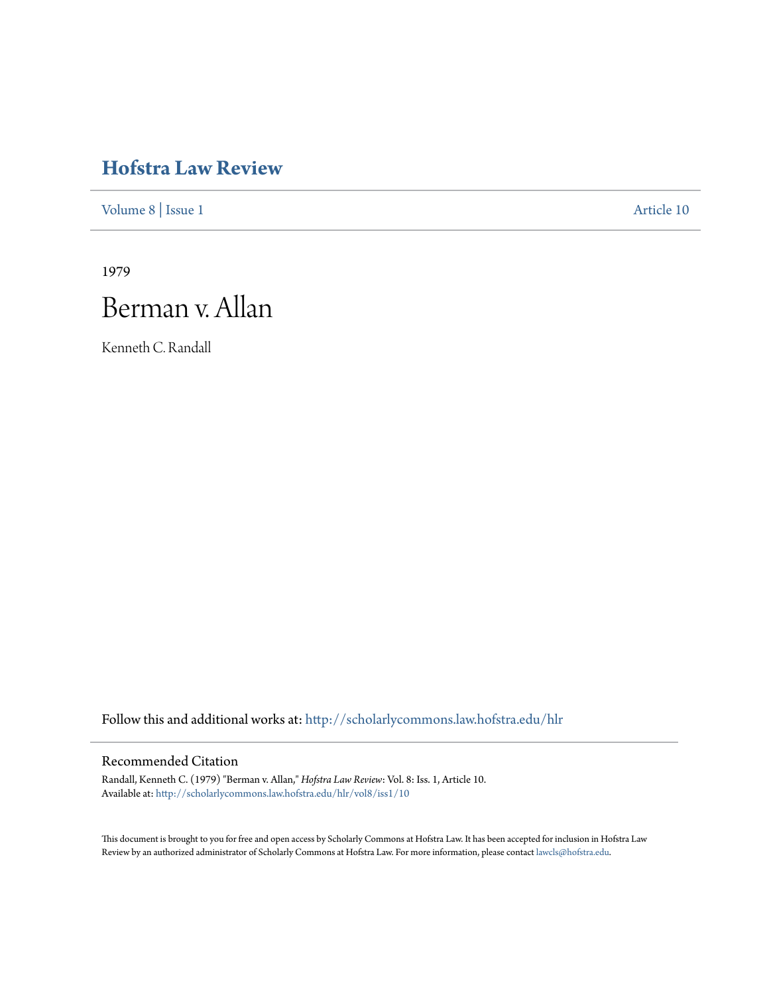# **[Hofstra Law Review](http://scholarlycommons.law.hofstra.edu/hlr?utm_source=scholarlycommons.law.hofstra.edu%2Fhlr%2Fvol8%2Fiss1%2F10&utm_medium=PDF&utm_campaign=PDFCoverPages)**

[Volume 8](http://scholarlycommons.law.hofstra.edu/hlr/vol8?utm_source=scholarlycommons.law.hofstra.edu%2Fhlr%2Fvol8%2Fiss1%2F10&utm_medium=PDF&utm_campaign=PDFCoverPages) | [Issue 1](http://scholarlycommons.law.hofstra.edu/hlr/vol8/iss1?utm_source=scholarlycommons.law.hofstra.edu%2Fhlr%2Fvol8%2Fiss1%2F10&utm_medium=PDF&utm_campaign=PDFCoverPages) [Article 10](http://scholarlycommons.law.hofstra.edu/hlr/vol8/iss1/10?utm_source=scholarlycommons.law.hofstra.edu%2Fhlr%2Fvol8%2Fiss1%2F10&utm_medium=PDF&utm_campaign=PDFCoverPages)

1979

# Berman v. Allan

Kenneth C. Randall

Follow this and additional works at: [http://scholarlycommons.law.hofstra.edu/hlr](http://scholarlycommons.law.hofstra.edu/hlr?utm_source=scholarlycommons.law.hofstra.edu%2Fhlr%2Fvol8%2Fiss1%2F10&utm_medium=PDF&utm_campaign=PDFCoverPages)

# Recommended Citation

Randall, Kenneth C. (1979) "Berman v. Allan," *Hofstra Law Review*: Vol. 8: Iss. 1, Article 10. Available at: [http://scholarlycommons.law.hofstra.edu/hlr/vol8/iss1/10](http://scholarlycommons.law.hofstra.edu/hlr/vol8/iss1/10?utm_source=scholarlycommons.law.hofstra.edu%2Fhlr%2Fvol8%2Fiss1%2F10&utm_medium=PDF&utm_campaign=PDFCoverPages)

This document is brought to you for free and open access by Scholarly Commons at Hofstra Law. It has been accepted for inclusion in Hofstra Law Review by an authorized administrator of Scholarly Commons at Hofstra Law. For more information, please contact [lawcls@hofstra.edu](mailto:lawcls@hofstra.edu).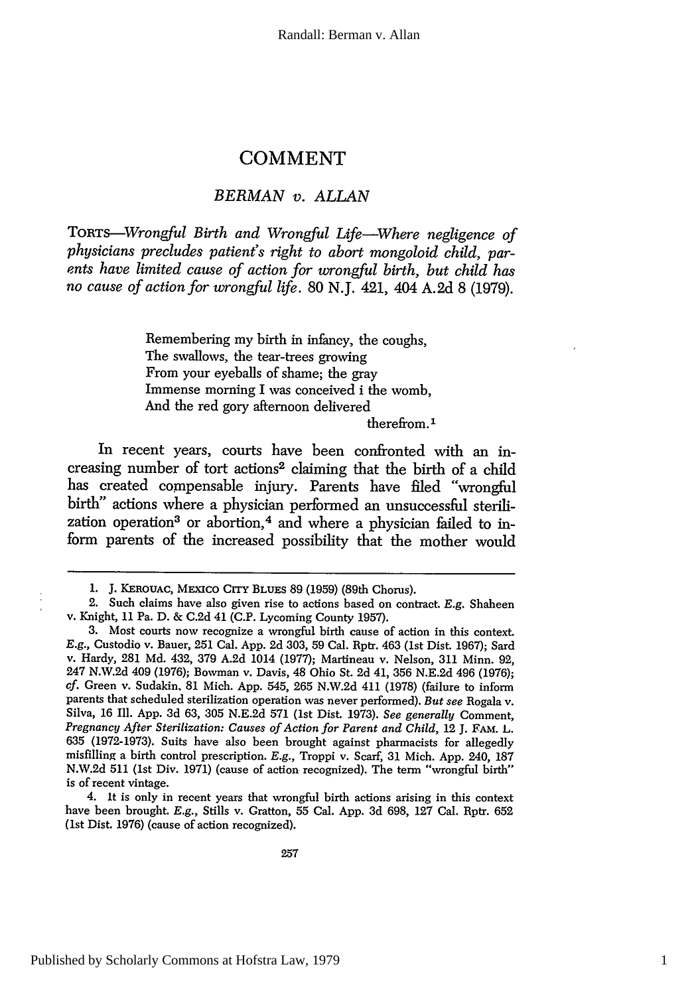## **COMMENT**

#### *BERMAN v. ALLAN*

*ToRTS--Wrongful Birth and Wrongful Life-Where negligence of physicians precludes patient's right to abort mongoloid child, parents have limited cause of action for wrongful birth, but child has no cause of action for wrongful life.* 80 N.J. 421, 404 A.2d 8 (1979).

> Remembering my birth in infancy, the coughs, The swallows, the tear-trees growing From your eyeballs of shame; the gray Immense morning I was conceived i the womb, And the red gory afternoon delivered

therefrom.<sup>1</sup>

In recent years, courts have been confronted with an increasing number of tort actions<sup>2</sup> claiming that the birth of a child has created compensable injury. Parents have filed "wrongful birth" actions where a physician performed an unsuccessful sterilization operation<sup>3</sup> or abortion,<sup>4</sup> and where a physician failed to inform parents of the increased possibility that the mother would

**<sup>1.</sup> J.** KEROUAC, **MEXIco CrrY BLUES** 89 (1959) (89th Chorus).

<sup>2.</sup> Such claims have also given rise to actions based on contract. **E.g.** Shaheen v. Knight, **11** Pa. **D.** & **C.2d** 41 **(C.P.** Lycoming County **1957).**

**<sup>3.</sup>** Most courts now recognize a wrongful birth cause of action in this context. *E.g.,* Custodio v. Bauer, **251** Cal. **App.** 2d **303, 59** Cal. Rptr. 463 (1st Dist. 1967); Sard v. Hardy, 281 **Md.** 432, 379 A.2d 1014 (1977); Martineau v. Nelson, 311 Minn. 92, 247 N.W.2d 409 (1976); Bowman v. Davis, 48 Ohio St. 2d 41, 356 N.E.2d 496 (1976); *cf.* Green v. Sudakin. 81 Mich. App. 545, 265 N.W.2d 411 (1978) (failure to inform parents that scheduled sterilization operation was never performed). *But see* Rogala v. Silva, 16 Ill. App. 3d 63, 305 N.E.2d 571 (1st Dist. 1973). *See generally* Comment, *Pregnancy After Sterilization: Causes of Action for Parent and Child,* 12 J. FAM. L. 635 (1972-1973). Suits have also been brought against pharmacists for allegedly misfilling a birth control prescription. *E.g.,* Troppi v. Scarf, 31 Mich. **App.** 240, **187** N.W.2d **511** (1st Div. 1971) (cause of action recognized). The term "wrongful birth" is of recent vintage.

<sup>4.</sup> It is only in recent years that wrongful birth actions arising in this context have been brought. *E.g.,* Stills v. Gratton, 55 Cal. **App. 3d** 698, 127 Cal. Rptr. 652 (1st Dist. 1976) (cause of action recognized).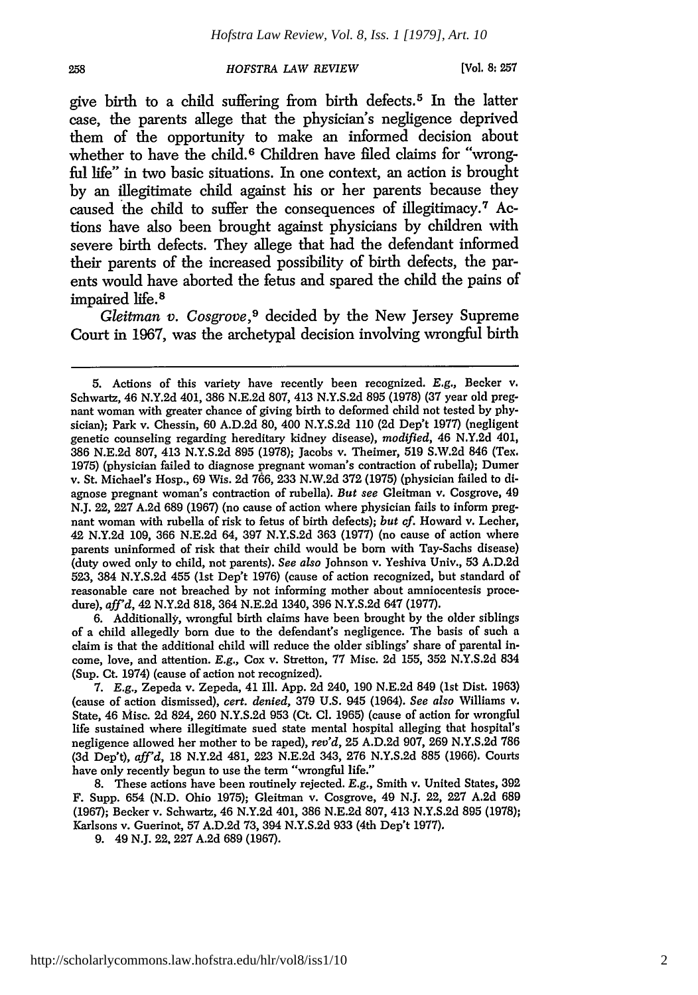**[Vol. 8: 257**

give birth to a child suffering from birth defects. 5 In the latter case, the parents allege that the physician's negligence deprived them of the opportunity to make an informed decision about whether to have the child.<sup>6</sup> Children have filed claims for "wrongful life" in two basic situations. In one context, an action is brought by an illegitimate child against his or her parents because they caused the child to suffer the consequences of illegitimacy.<sup>7</sup> Actions have also been brought against physicians by children with severe birth defects. They allege that had the defendant informed their parents of the increased possibility of birth defects, the parents would have aborted the fetus and spared the child the pains of impaired life. <sup>8</sup>

*Gleitman v. Cosgrove,9* decided by the New Jersey Supreme Court in 1967, was the archetypal decision involving wrongful birth

6. Additionally, wrongful birth claims have been brought by the older siblings of a child allegedly born due to the defendant's negligence. The basis of such a claim is that the additional child will reduce the older siblings' share of parental income, love, and attention. *E.g.,* Cox v. Stretton, 77 Misc. 2d 155, 352 N.Y.S.2d 834 (Sup. Ct. 1974) (cause of action not recognized).

7. *E.g.,* Zepeda v. Zepeda, 41 Ill. App. 2d 240, 190 N.E.2d 849 (1st Dist. 1963) (cause of action dismissed), *cert. denied,* 379 U.S. 945 (1964). *See also* Williams v. State, 46 Misc. 2d 824, 260 N.Y.S.2d 953 (Ct. **Cl.** 1965) (cause of action for wrongful life sustained where illegitimate sued state mental hospital alleging that hospital's negligence allowed her mother to be raped), *rev'd,* 25 A.D.2d 907, 269 N.Y.S.2d 786 (3d Dep't), *aff'd,* 18 N.Y.2d 481, 223 N.E.2d 343, 276 N.Y.S.2d 885 (1966). Courts have only recently begun to use the term "wrongful life."

8. These actions have been routinely rejected. E.g., Smith v. United States, 392 F. Supp. 654 (N.D. Ohio 1975); Gleitman v. Cosgrove, 49 N.J. 22, 227 A.2d 689 (1967); Becker v. Schwartz, 46 N.Y.2d 401, 386 N.E.2d 807, 413 N.Y.S.2d 895 (1978); Karlsons v. Guerinot, 57 A.D.2d 73, 394 N.Y.S.2d 933 (4th Dep't 1977).

9. 49 N.J. **22,** 227 A.2d 689 (1967).

258

<sup>5.</sup> Actions of this variety have recently been recognized. E.g., Becker v. Schwartz, 46 N.Y.2d 401, 386 N.E.2d 807, 413 N.Y.S.2d 895 (1978) (37 year old pregnant woman with greater chance of giving birth to deformed child not tested by physician); Park v. Chessin, 60 A.D.2d 80, 400 N.Y.S.2d 110 (2d Dep't 1977) (negligent genetic counseling regarding hereditary kidney disease), *modified,* 46 N.Y.2d 401, 386 N.E.2d 807, 413 N.Y.S.2d 895 (1978); Jacobs v. Theimer, 519 S.W.2d 846 (Tex. 1975) (physician failed to diagnose pregnant woman's contraction of rubella); Dumer v. St. Michael's Hosp., 69 Wis. 2d 766, 233 N.W.2d 372 (1975) (physician failed to diagnose pregnant woman's contraction of rubella). *But see* Gleitman v. Cosgrove, 49 N.J. 22, 227 A.2d 689 (1967) (no cause of action where physician fails to inform pregnant woman with rubella of risk to fetus of birth defects); *but of.* Howard v. Lecher, 42 N.Y.2d 109, 366 N.E.2d 64, 397 N.Y.S.2d 363 (1977) (no cause of action where parents uninformed of risk that their child would be born with Tay-Sachs disease) (duty owed only to child, not parents). *See also* Johnson v. Yeshiva Univ., 53 A.D.2d 523, 384 N.Y.S.2d 455 (1st Dep't 1976) (cause of action recognized, but standard of reasonable care not breached by not informing mother about amniocentesis procedure), *aff'd,* 42 N.Y.2d 818, 364 N.E.2d 1340, 396 N.Y.S.2d 647 (1977).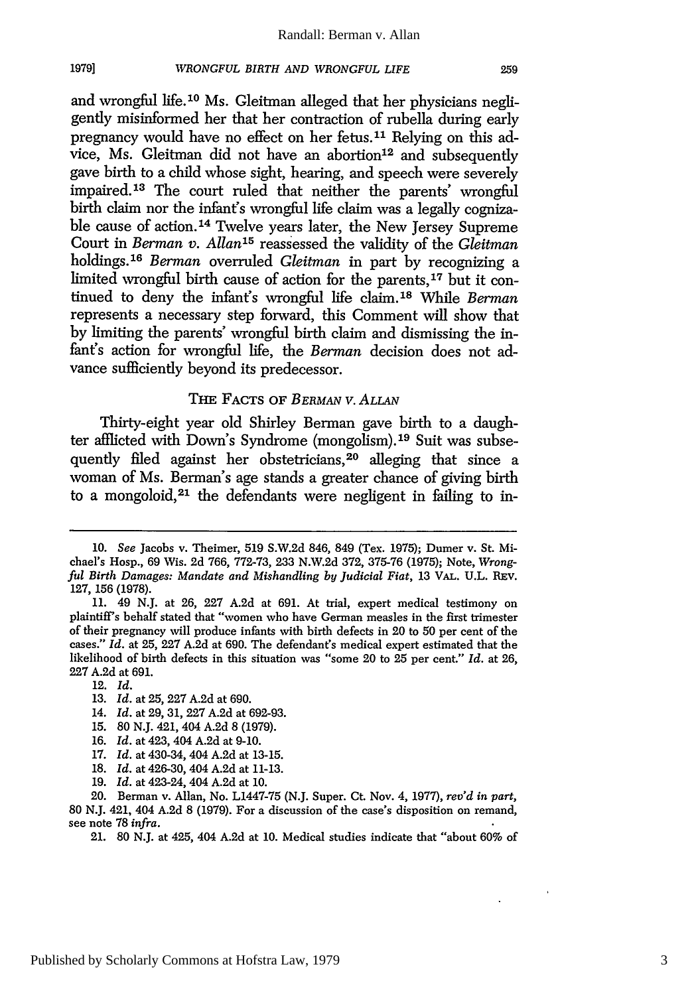#### Randall: Berman v. Allan

#### *WRONGFUL BIRTH AND WRONGFUL LIFE*

and wrongful life. 1 0 Ms. Gleitman alleged that her physicians negligently misinformed her that her contraction of rubella during early pregnancy would have no effect on her fetus.<sup>11</sup> Relying on this advice, Ms. Gleitman did not have an abortion<sup>12</sup> and subsequently gave birth to a child whose sight, hearing, and speech were severely impaired. 13 The court ruled that neither the parents' wrongful birth claim nor the infant's wrongful life claim was a legally cognizable cause of action.<sup>14</sup> Twelve years later, the New Jersey Supreme Court in *Berman v. Allan'5* reassessed the validity of the *Gleitman* holdings. <sup>16</sup>*Berman* overruled *Gleitman* in part by recognizing a limited wrongful birth cause of action for the parents,<sup>17</sup> but it continued to deny the infant's wrongful life claim.<sup>18</sup> While *Berman* represents a necessary step forward, this Comment will show that by limiting the parents' wrongful birth claim and dismissing the infant's action for wrongful life, the *Berman* decision does not advance sufficiently beyond its predecessor.

## THE FACTS OF *BERMAN V. ALLAN*

Thirty-eight year old Shirley Berman gave birth to a daughter afflicted with Down's Syndrome (mongolism).19 Suit was subsequently filed against her obstetricians, 20 alleging that since a woman of Ms. Berman's age stands a greater chance of giving birth to a mongoloid, 21 the defendants were negligent in failing to in-

- 15. 80 N.J. 421, 404 A.2d 8 (1979).
- 16. *Id.* at 423, 404 A.2d at 9-10.
- 17. *Id.* at 430-34, 404 A.2d at 13-15.

19. *Id.* at 423-24, 404 A.2d at 10.

<sup>10.</sup> *See* Jacobs v. Theimer, 519 S.W.2d 846, 849 (Tex. 1975); Dumer v. St. Michael's Hosp., 69 Wis. 2d 766, 772-73, 233 N.W.2d 372, 375-76 (1975); Note, *Wrongful Birth Damages: Mandate and Mishandling by Judicial Fiat,* 13 VAL. U.L. REV. 127, 156 (1978).

<sup>11. 49</sup> N.J. at 26, 227 A.2d at 691. At trial, expert medical testimony on plaintiff's behalf stated that "women who have German measles in the first trimester of their pregnancy will produce infants with birth defects in 20 to 50 per cent of the cases." *Id.* at 25, 227 A.2d at 690. The defendant's medical expert estimated that the likelihood of birth defects in this situation was "some 20 to 25 per cent." *Id.* at 26, 227 A.2d at 691.

<sup>12.</sup> *Id.*

<sup>13.</sup> *Id.* at 25, 227 A.2d at 690.

<sup>14.</sup> *Id.* at 29, 31, 227 A.2d at 692-93.

<sup>18.</sup> *Id.* at 426-30, 404 A.2d at 11-13.

<sup>20.</sup> Berman v. Allan, No. L1447-75 (N.J. Super. Ct. Nov. 4, 1977), *rev'd in part,* 80 N.J. 421, 404 A.2d 8 (1979). For a discussion of the case's disposition on remand, see note 78 *infra.*

<sup>21. 80</sup> N.J. at 425, 404 A.2d at 10. Medical studies indicate that "about 60% of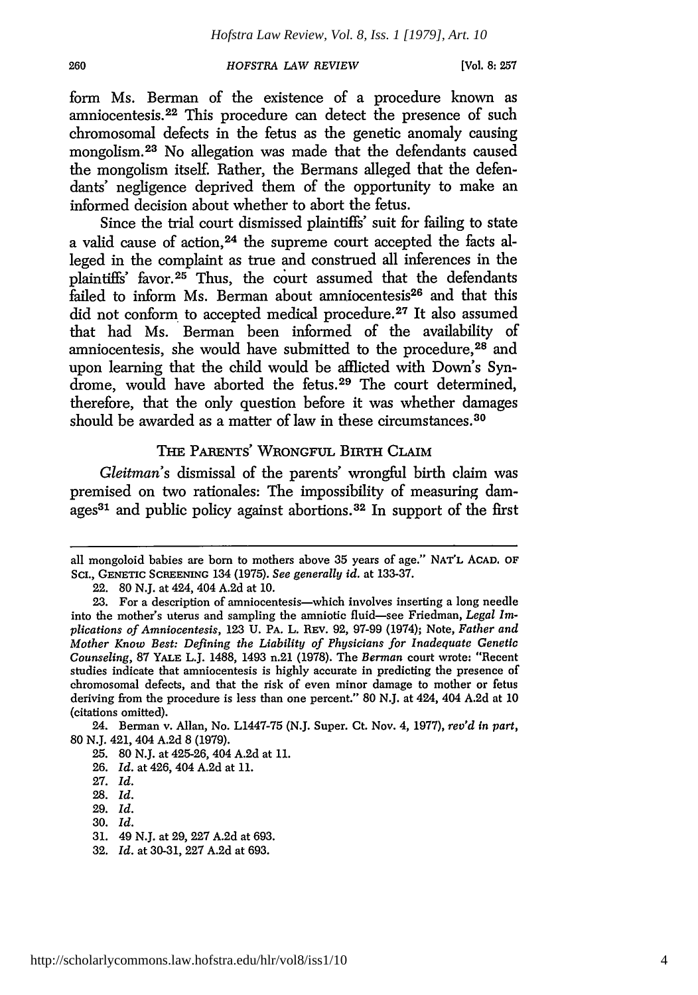**[Vol. 8: 257**

form Ms. Berman of the existence of a procedure known as amniocentesis. 22 This procedure can detect the presence of such chromosomal defects in the fetus as the genetic anomaly causing mongolism. 23 No allegation was made that the defendants caused the mongolism itself. Rather, the Bermans alleged that the defendants' negligence deprived them of the opportunity to make an informed decision about whether to abort the fetus.

Since the trial court dismissed plaintiffs' suit for failing to state a valid cause of action, 24 the supreme court accepted the facts alleged in the complaint as true and construed all inferences in the plaintiffs' favor.25 Thus, the court assumed that the defendants  $\tilde{f}$ ailed to inform Ms. Berman about amniocentesis<sup>26</sup> and that this did not conform to accepted medical procedure.<sup>27</sup> It also assumed that had Ms. Berman been informed of the availability of amniocentesis, she would have submitted to the procedure, 28 and upon learning that the child would be afflicted with Down's Syndrome, would have aborted the fetus.<sup>29</sup> The court determined, therefore, that the only question before it was whether damages should be awarded as a matter of law in these circumstances.<sup>30</sup>

# THE PARENTS' WRONGFUL BIRTH CLAIM

*Gleitman's* dismissal of the parents' wrongful birth claim was premised on two rationales: The impossibility of measuring damages<sup>31</sup> and public policy against abortions.<sup>32</sup> In support of the first

all mongoloid babies are born to mothers above 35 years of age." NAr'L ACAD. OF ScI., GENETIC **SCREENING** 134 (1975). *See generally id.* at 133-37.

<sup>22. 80</sup> N.J. at 424, 404 A.2d at 10.

<sup>23.</sup> For a description of amniocentesis-which involves inserting a long needle into the mother's uterus and sampling the amniotic fluid-see Friedman, *Legal Implications of Amniocentesis,* 123 U. PA. L. REv. 92, 97-99 (1974); Note, *Father and Mother Know Best: Defining the Liability of Physicians for Inadequate Genetic Counseling,* 87 YALE L.J. 1488, 1493 n.21 (1978). The *Berman* court wrote: "Recent studies indicate that amniocentesis is highly accurate in predicting the presence of chromosomal defects, and that the risk of even minor damage to mother or fetus deriving from the procedure is less than one percent." 80 N.J. at 424, 404 A.2d at 10 (citations omitted).

<sup>24.</sup> Berman v. Allan, No. L1447-75 (N.J. Super. Ct. Nov. 4, 1977), *rev'd in part,* 80 N.J. 421, 404 A.2d 8 (1979).

<sup>25. 80</sup> N.J. at 425-26, 404 A.2d at 11.

<sup>26.</sup> *Id.* at 426, 404 A.2d at 11.

<sup>27.</sup> *Id.*

<sup>28.</sup> *Id.*

<sup>29.</sup> *Id.*

<sup>30.</sup> *Id.*

<sup>31. 49</sup> N.J. at 29, 227 A.2d at 693.

<sup>32.</sup> *Id.* at 30-31, 227 A.2d at 693.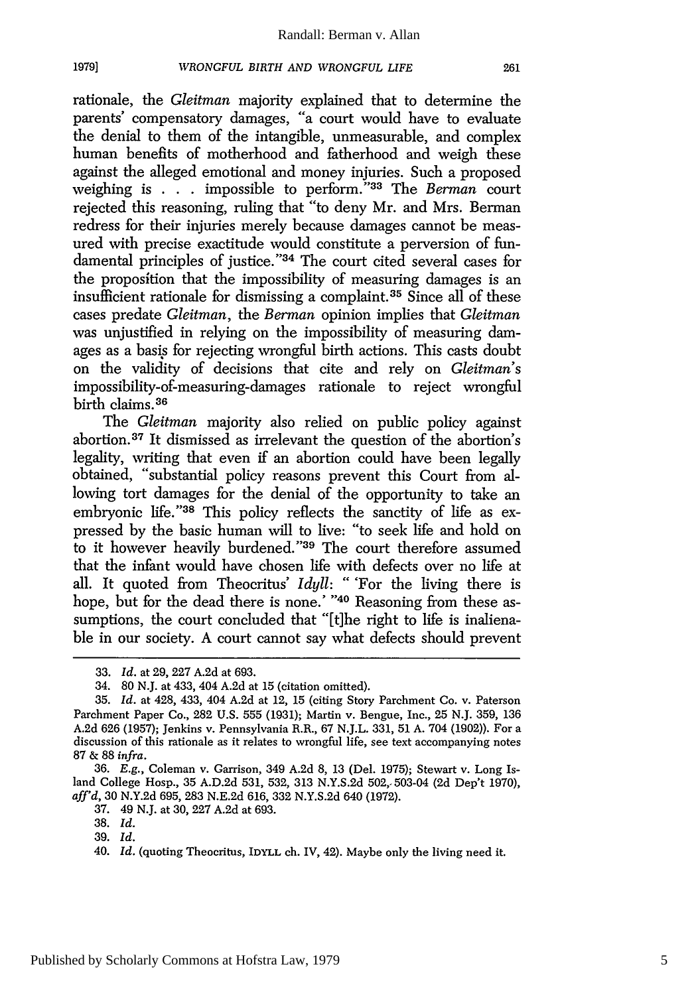**1979]**

rationale, the *Gleitman* majority explained that to determine the parents' compensatory damages, "a court would have to evaluate the denial to them of the intangible, unmeasurable, and complex human benefits of motherhood and fatherhood and weigh these against the alleged emotional and money injuries. Such a proposed weighing is . . . impossible to perform."<sup>33</sup> The *Berman* court rejected this reasoning, ruling that "to deny Mr. and Mrs. Berman redress for their injuries merely because damages cannot be measured with precise exactitude would constitute a perversion of fundamental principles of justice."<sup>34</sup> The court cited several cases for the proposition that the impossibility of measuring damages is an insufficient rationale for dismissing a complaint. 35 Since all of these cases predate *Gleitman,* the *Berman* opinion implies that *Gleitman* was unjustified in relying on the impossibility of measuring damages as a basis for rejecting wrongful birth actions. This casts doubt on the validity of decisions that cite and rely on *Gleitman's* impossibility-of-measuring-damages rationale to reject wrongful birth claims. <sup>36</sup>

The *Gleitman* majority also relied on public policy against abortion. 37 It dismissed as irrelevant the question of the abortion's legality, writing that even if an abortion could have been legally obtained, "substantial policy reasons prevent this Court from allowing tort damages for the denial of the opportunity to take an embryonic life."<sup>38</sup> This policy reflects the sanctity of life as expressed by the basic human will to live: "to seek life and hold on to it however heavily burdened."<sup>39</sup> The court therefore assumed that the infant would have chosen life with defects over no life at all. It quoted from Theocritus' *Idyll:* " 'For the living there is hope, but for the dead there is none.' **"40** Reasoning from these assumptions, the court concluded that "[t]he right to life is inalienable in our society. A court cannot say what defects should prevent

<sup>33.</sup> *Id.* at 29, 227 A.2d at 693.

<sup>34. 80</sup> N.J. at 433, 404 A.2d at 15 (citation omitted).

<sup>35.</sup> *Id.* at 428, 433, 404 A.2d at 12, 15 (citing Story Parchment Co. v. Paterson Parchment Paper Co., 282 U.S. 555 (1931); Martin v. Bengue, Inc., 25 N.J. 359, 136 A.2d 626 (1957); Jenkins v. Pennsylvania R.R., 67 N.J.L. 331, 51 A. 704 (1902)). For a discussion of this rationale as it relates to wrongful life, see text accompanying notes 87 & 88 *infra.*

<sup>36.</sup> E.g., Coleman v. Garrison, 349 A.2d 8, 13 (Del. 1975); Stewart v. Long Island College Hosp., 35 A.D.2d 531, 532, 313 N.Y.S.2d 502,- 503-04 (2d Dep't 1970), *aff'd,* 30 N.Y.2d 695, 283 N.E.2d 616, 332 N.Y.S.2d 640 (1972).

<sup>37. 49</sup> N.J. at 30, 227 A.2d at 693.

<sup>38.</sup> *Id.*

<sup>39.</sup> *Id.*

<sup>40.</sup> *Id.* (quoting Theocritus, IDYLL ch. IV, 42). Maybe only the living need it.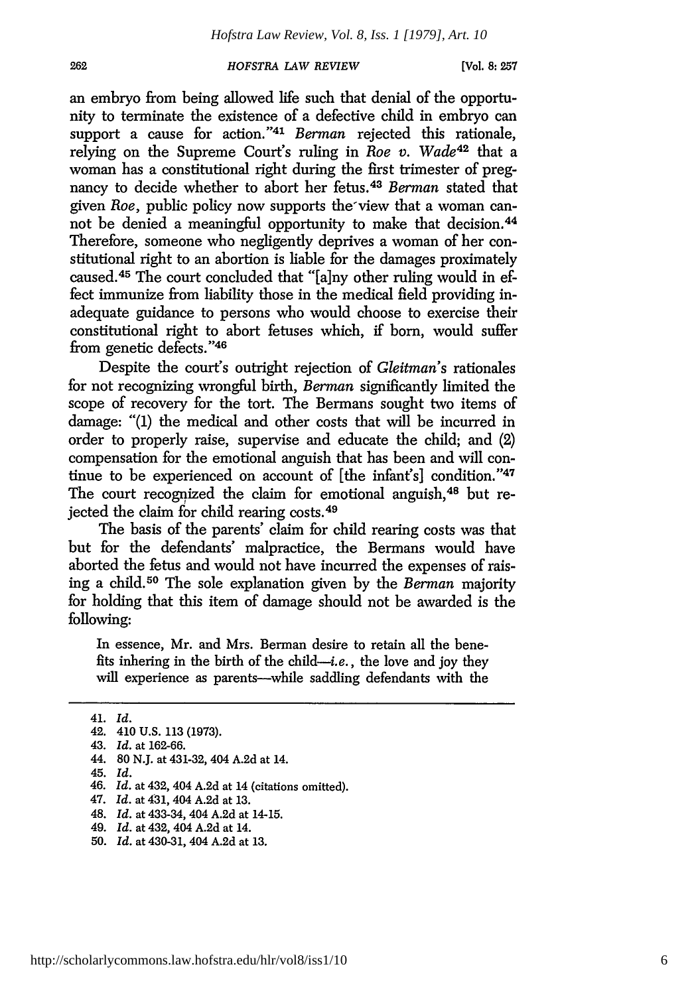**[Vol. 8: 257**

an embryo from being allowed life such that denial of the opportunity to terminate the existence of a defective child in embryo can support a cause for action."<sup>41</sup> Berman rejected this rationale, relying on the Supreme Court's ruling in *Roe v. Wade42* that a woman has a constitutional right during the first trimester of pregnancy to decide whether to abort her fetus. <sup>43</sup>*Berman* stated that given *Roe,* public policy now supports the'view that a woman cannot be denied a meaningful opportunity to make that decision. <sup>44</sup> Therefore, someone who negligently deprives a woman of her constitutional right to an abortion is liable for the damages proximately caused.<sup>45</sup> The court concluded that "[a]ny other ruling would in effect immunize from liability those in the medical field providing inadequate guidance to persons who would choose to exercise their constitutional right to abort fetuses which, if born, would suffer from genetic defects."46

Despite the court's outright rejection of *Gleitman's* rationales for not recognizing wrongful birth, *Berman* significantly limited the scope of recovery for the tort. The Bermans sought two items of damage: "(1) the medical and other costs that will be incurred in order to properly raise, supervise and educate the child; and (2) compensation for the emotional anguish that has been and will continue to be experienced on account of [the infant's] condition."<sup>47</sup> The court recognized the claim for emotional anguish.<sup>48</sup> but rejected the claim for child rearing costs. <sup>49</sup>

The basis of the parents' claim for child rearing costs was that but for the defendants' malpractice, the Bermans would have aborted the fetus and would not have incurred the expenses of raising a child.50 The sole explanation given by the *Berman* majority for holding that this item of damage should not be awarded is the following:

In essence, Mr. and Mrs. Berman desire to retain all the benefits inhering in the birth of the *child-i.e.,* the love and **joy** they will experience as parents--while saddling defendants with the

- 49. *Id.* at 432, 404 A.2d at 14.
- 50. *Id.* at 430-31, 404 A.2d at 13.

262

<sup>41.</sup> *Id.*

<sup>42. 410</sup> **U.S.** 113 (1973).

<sup>43.</sup> *Id.* at 162-66.

<sup>44. 80</sup> N.J. at 431-32, 404 A.2d at 14.

<sup>45.</sup> *Id.*

<sup>46.</sup> *Id.* at 432, 404 A.2d at 14 (citations omitted).

<sup>47.</sup> *Id.* at 431, 404 A.2d at 13.

<sup>48.</sup> *Id.* at 433-34, 404 A.2d at 14-15.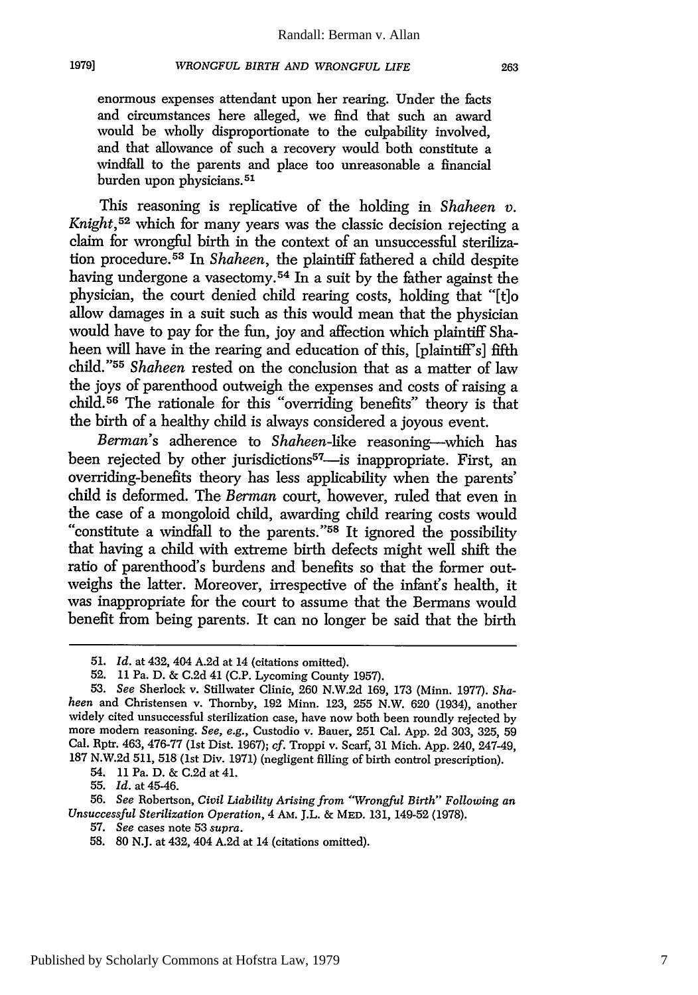enormous expenses attendant upon her rearing. Under the facts and circumstances here alleged, we find that such an award would be wholly disproportionate to the culpability involved, and that allowance of such a recovery would both constitute a windfall to the parents and place too unreasonable a financial burden upon physicians.<sup>51</sup>

This reasoning is replicative of the holding in *Shaheen v. Knight,52* which for many years was the classic decision rejecting a claim for wrongful birth in the context of an unsuccessful sterilization procedure. 53 In *Shaheen,* the plaintiff fathered a child despite having undergone a vasectomy.<sup>54</sup> In a suit by the father against the physician, the court denied child rearing costs, holding that "[t]o allow damages in a suit such as this would mean that the physician would have to pay for the fun, joy and affection which plaintiff Shaheen will have in the rearing and education of this, [plaintiff's] fifth child."55 *Shaheen* rested on the conclusion that as a matter of law the joys of parenthood outweigh the expenses and costs of raising a child. 56 The rationale for this "overriding benefits" theory is that the birth of a healthy child is always considered a joyous event.

*Berman's* adherence to *Shaheen-like* reasoning-which has been rejected by other jurisdictions<sup>57</sup>—is inappropriate. First, an overriding-benefits theory has less applicability when the parents' child is deformed. The *Berman* court, however, ruled that even in the case of a mongoloid child, awarding child rearing costs would "constitute a windfall to the parents."<sup>58</sup> It ignored the possibility that having a child with extreme birth defects might well shift the ratio of parenthood's burdens and benefits so that the former outweighs the latter. Moreover, irrespective of the infant's health, it was inappropriate for the court to assume that the Bermans would benefit from being parents. It can no longer be said that the birth

54. 11 Pa. D. & C.2d at 41.

55. *Id.* at 45-46.

**1979]**

56. *See* Robertson, *Civil Liability Arising from "'Wrongful Birth" Following an Unsuccessful Sterilization Operation,* 4 AM. J.L. & MED. 131, 149-52 (1978).

57. *See* cases note 53 *supra.*

*<sup>51.</sup> Id.* at 432, 404 A.2d at 14 (citations omitted).

<sup>52. 11</sup> Pa. D. & C.2d 41 (C.P. Lycoming County 1957).

*<sup>53.</sup> See* Sherlock v. Stillwater Clinic, 260 N.W.2d 169, 173 (Minn. 1977). *Shaheen* and Christensen v. Thornby, 192 Minn. 123, 255 N.W. 620 (1934), another widely cited unsuccessful sterilization case, have now both been roundly rejected by more modem reasoning. *See, e.g.,* Custodio v. Bauer, 251 Cal. App. 2d 303, 325, 59 Cal. Rptr. 463, 476-77 (1st Dist. 1967); cf. Troppi v. Scarf, 31 Mich. App. 240, 247-49, 187 N.W.2d 511, 518 (1st Div. 1971) (negligent filling of birth control prescription).

<sup>58. 80</sup> N.J. at 432, 404 A.2d at 14 (citations omitted).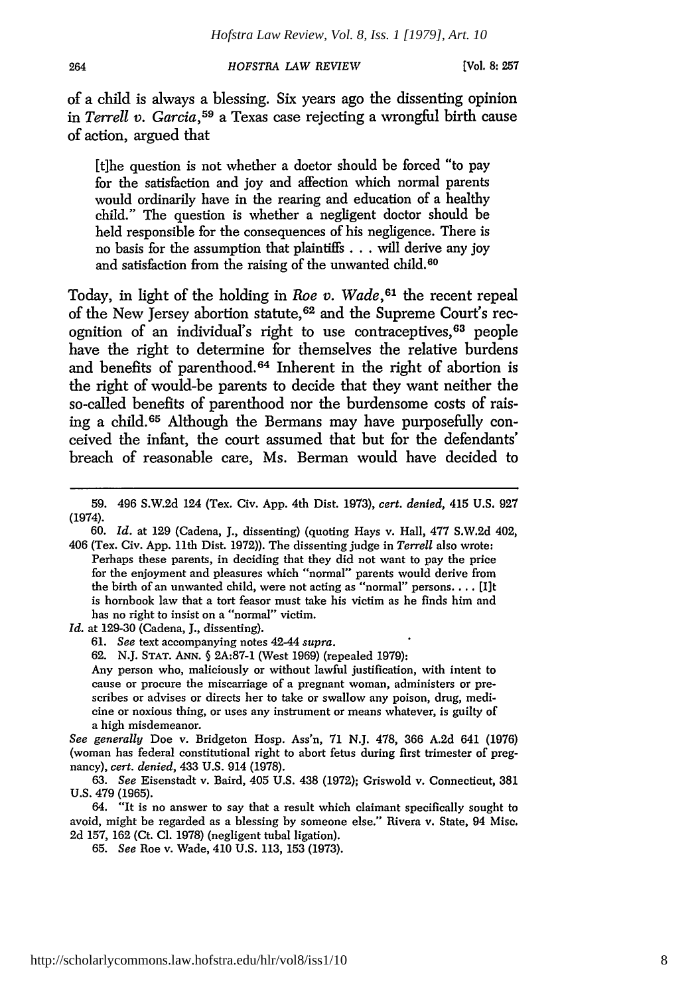264

*HOFSTRA LAW REVIEW*

**[Vol. 8: 257**

of a **child** is always a blessing. Six years ago the dissenting opinion in *Terrell v. Garcia,59* a Texas case rejecting a wrongful birth cause **of** action, argued that

[t]he question is not whether a doctor should be forced "to pay for the satisfaction and **joy** and affection which normal parents would ordinarily have in the rearing and education of a healthy child." The question is whether a negligent doctor should be held responsible for the consequences of his negligence. There is no basis for the assumption that plaintiffs **...** will derive any **joy** and satisfaction from the raising of the unwanted child.<sup>60</sup>

Today, in light of the holding in *Roe v. Wade, 61* the recent repeal of the New Jersey abortion statute, 62 and the Supreme Court's recognition of an individual's right to use contraceptives, 63 people have the right to determine for themselves the relative burdens and benefits of parenthood.<sup>64</sup> Inherent in the right of abortion is the right of would-be parents to decide that they want neither the so-called benefits of parenthood nor the burdensome costs of raising a **child. <sup>65</sup>**Although the Bermans may have purposefully conceived the infant, the court assumed that but for the defendants' breach of reasonable care, Ms. Berman would have decided to

**60.** *Id.* at **129** (Cadena, **J.,** dissenting) (quoting Hays v. Hall, 477 S.W.2d 402, 406 (Tex. Civ. App. 11th Dist. 1972)). The dissenting judge in *Terrell* also wrote: Perhaps these parents, in deciding that they did not want to pay the price for the enjoyment and pleasures which "normal" parents would derive from the birth of an unwanted child, were not acting as "normal" persons.... [Ilt is hornbook law that a tort feasor must take his victim as he finds him and has no right to insist on a "normal" victim.

*Id.* at 129-30 (Cadena, J., dissenting).

61. *See* text accompanying notes 42-44 *supra.*

62. N.J. STAT. **ANN.** § 2A:87-1 (West 1969) (repealed 1979):

Any person who, maliciously or without lawful justification, with intent to cause or procure the miscarriage of a pregnant woman, administers or prescribes or advises or directs her to take or swallow any poison, drug, medicine or noxious thing, or uses any instrument or means whatever, is guilty of a high misdemeanor.

*See generally* Doe v. Bridgeton Hosp. Ass'n, 71 N.J. 478, 366 A.2d 641 (1976) (woman has federal constitutional right to abort fetus during first trimester of pregnancy), *cert. denied,* 433 U.S. 914 (1978).

63. *See* Eisenstadt v. Baird, 405 U.S. 438 (1972); Griswold v. Connecticut, 381 U.S. 479 (1965).

64. "It is no answer to say that a result which claimant specifically sought to avoid, might be regarded as a blessing by someone else." Rivera v. State, 94 Misc. 2d 157, 162 (Ct. **Cl.** 1978) (negligent tubal ligation).

65. *See* Roe v. Wade, 410 U.S. 113, 153 (1973).

<sup>59. 496</sup> S.W.2d 124 (Tex. Civ. App. 4th Dist. 1973), *cert. denied,* 415 U.S. 927 (1974).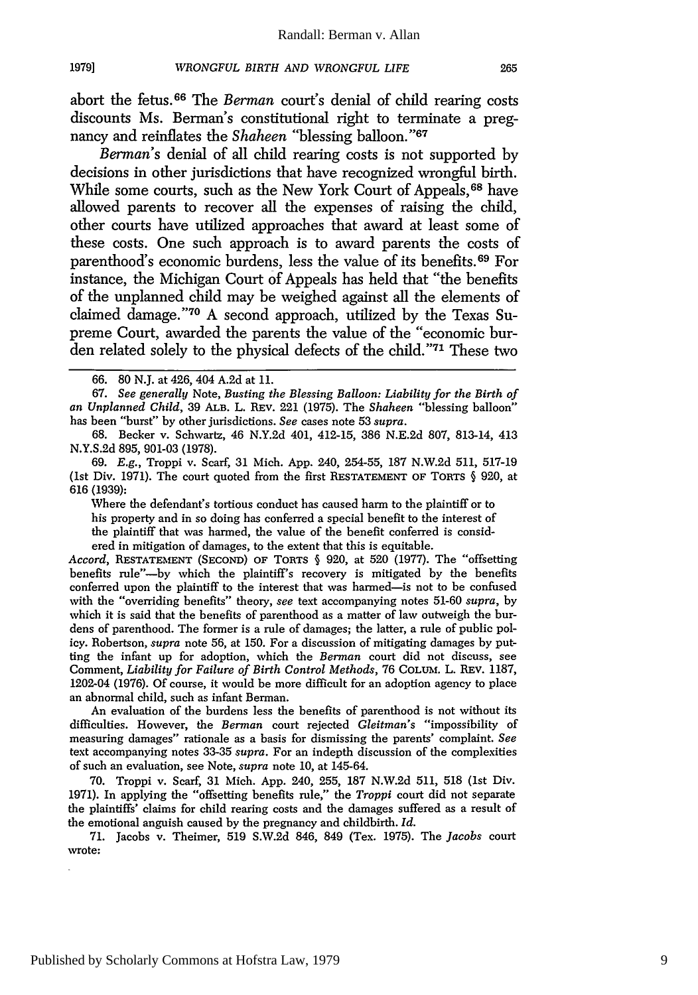abort the fetus. 66 The *Berman* court's denial of child rearing costs discounts Ms. Berman's constitutional right to terminate a pregnancy and reinflates the *Shaheen* "blessing balloon."<sup>67</sup>

*Berman's* denial of all child rearing costs is not supported by decisions in other jurisdictions that have recognized wrongful birth. While some courts, such as the New York Court of Appeals, <sup>68</sup> have allowed parents to recover all the expenses of raising the child, other courts have utilized approaches that award at least some of these costs. One such approach is to award parents the costs of parenthood's economic burdens, less the value of its benefits. 69 For instance, the Michigan Court of Appeals has held that "the benefits of the unplanned child may be weighed against all the elements of claimed damage." 70 A second approach, utilized by the Texas Supreme Court, awarded the parents the value of the "economic burden related solely to the physical defects of the child."<sup>71</sup> These two

Where the defendant's tortious conduct has caused harm to the plaintiff or to his property and in so doing has conferred a special benefit to the interest of the plaintiff that was harmed, the value of the benefit conferred is considered in mitigation of damages, to the extent that this is equitable.

*Accord,* **RESTATEMENT (SECOND)** OF TORTS **§** 920, at 520 (1977). The "offsetting benefits rule"-by which the plaintiff's recovery is mitigated by the benefits conferred upon the plaintiff to the interest that was harmed-is not to be confused with the "overriding benefits" theory, *see* text accompanying notes 51-60 *supra,* by which it is said that the benefits of parenthood as a matter of law outweigh the burdens of parenthood. The former is a rule of damages; the latter, a rule of public policy. Robertson, *supra* note 56, at 150. For a discussion of mitigating damages by putting the infant up for adoption, which the *Berman* court did not discuss, see Comment, *Liability for Failure of Birth Control Methods,* 76 **COLUM.** L. REv. 1187, 1202-04 (1976). Of course, it would be more difficult for an adoption agency to place an abnormal child, such as infant Berman.

An evaluation of the burdens less the benefits of parenthood is not without its difficulties. However, the *Berman* court rejected *Gleitman's* "impossibility of measuring damages" rationale as a basis for dismissing the parents' complaint. *See* text accompanying notes 33-35 *supra.* For an indepth discussion of the complexities of such an evaluation, see Note, *supra* note 10, at 145-64.

70. Troppi v. Scarf, 31 Mich. App. 240, 255, 187 N.W.2d 511, 518 (1st Div. 1971). In applying the "offsetting benefits rule," the *Troppi* court did not separate the plaintiffs' claims for child rearing costs and the damages suffered as a result of the emotional anguish caused by the pregnancy and childbirth. *Id.*

71. Jacobs v. Theimer, 519 S.W.2d 846, 849 (Tex. 1975). The *Jacobs* court wrote:

<sup>66. 80</sup> N.J. at 426, 404 A.2d at 11.

<sup>67.</sup> *See generally* Note, *Busting the Blessing Balloon: Liability for the Birth of an Unplanned Child,* 39 ALB. L. REv. 221 (1975). The *Shaheen* "blessing balloon" has been "burst" by other jurisdictions. *See* cases note 53 *supra.*

<sup>68.</sup> Becker v. Schwartz, 46 N.Y.2d 401, 412-15, 386 N.E.2d 807, 813-14, 413 N.Y.S.2d 895, 901-03 (1978).

<sup>69.</sup> *E.g.,* Troppi v. Scarf, 31 Mich. App. 240, 254-55, 187 N.W.2d 511, 517-19 (1st Div. 1971). The court quoted from the first RESTATEMENT OF TORTS **§** 920, at 616 (1939):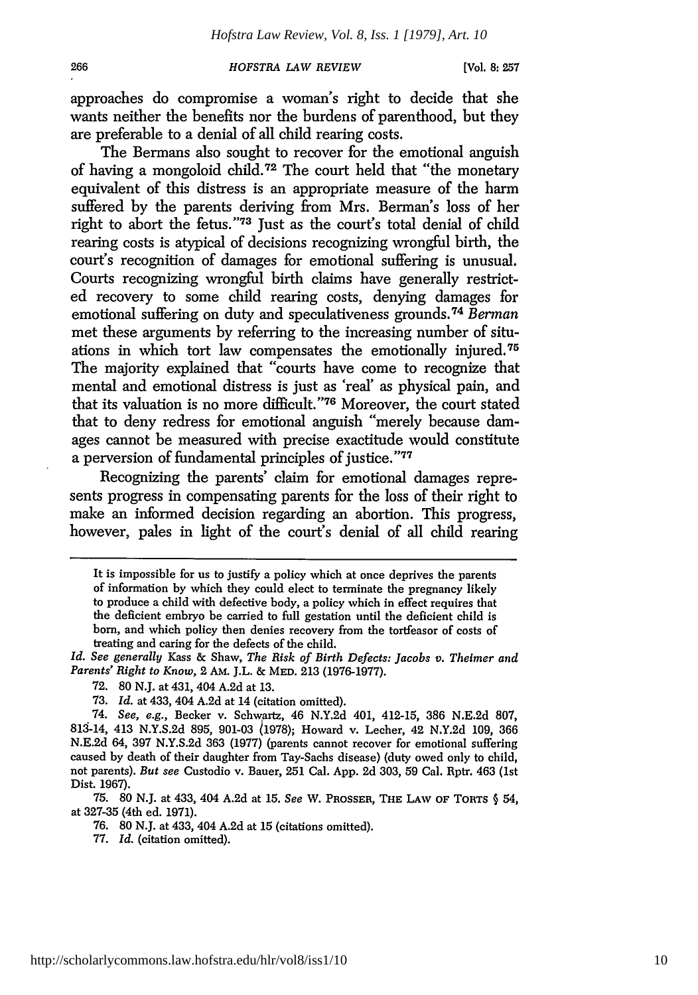#### 266

#### *HOFSTRA LAW REVIEW*

**[Vol. 8:257**

approaches do compromise a woman's right to decide that she wants neither the benefits nor the burdens of parenthood, but they are preferable to a denial of all child rearing costs.

The Bermans also sought to recover for the emotional anguish of having a mongoloid child. 72 The court held that "the monetary equivalent of this distress is an appropriate measure of the harm suffered by the parents deriving from Mrs. Berman's loss of her right to abort the fetus."<sup>73</sup> Just as the court's total denial of child rearing costs is atypical of decisions recognizing wrongful birth, the court's recognition of damages for emotional suffering is unusual. Courts recognizing wrongful birth claims have generally restricted recovery to some child rearing costs, denying damages for emotional suffering on duty and speculativeness grounds. <sup>74</sup>*Berman* met these arguments by referring to the increasing number of situations in which tort law compensates the emotionally injured. <sup>75</sup> The majority explained that "courts have come to recognize that mental and emotional distress is just as 'real' as physical pain, and that its valuation is no more difficult."<sup>76</sup> Moreover, the court stated that to deny redress for emotional anguish "merely because damages cannot be measured with precise exactitude would constitute a perversion of fundamental principles of justice."77

Recognizing the parents' claim for emotional damages represents progress in compensating parents for the loss of their right to make an informed decision regarding an abortion. This progress, however, pales in light of the court's denial of all child rearing

*Id. See generally* Kass & Shaw, *The Risk of Birth Defects: Jacobs v. Theimer and Parents' Right to Know,* 2 AM. J.L. & MED. 213 (1976-1977).

73. *Id.* at 433, 404 A.2d at 14 (citation omitted).

74. *See, e.g.,* Becker v. Schwartz, 46 N.Y.2d 401, 412-15, **386** N.E.2d 807, 813-14, 413 N.Y.S.2d 895, 901-03 1978); Howard v. Lecher, 42 N.Y.2d 109, 366 N.E.2d 64, 397 N.Y.S.2d 363 (1977) (parents cannot recover for emotional suffering caused by death of their daughter from Tay-Sachs disease) (duty owed only to child, not parents). *But see* Custodio v. Bauer, 251 Cal. App. 2d 303, 59 Cal. Rptr. 463 (1st Dist. 1967).

75. 80 N.J. at 433, 404 A.2d at 15. *See* W. PROSSER, **THE LAW OF** TORTS **§** 54, at 327-35 (4th ed. 1971).

76. 80 N.J. at 433, 404 A.2d at 15 (citations omitted).

77. *Id.* (citation omitted).

It is impossible for us to justify a policy which at once deprives the parents of information by which they could elect to terminate the pregnancy likely to produce a child with defective body, a policy which in effect requires that the deficient embryo be carried to full gestation until the deficient child is born, and which policy then denies recovery from the tortfeasor of costs of treating and caring for the defects of the child.

<sup>72. 80</sup> N.J. at 431, 404 A.2d at 13.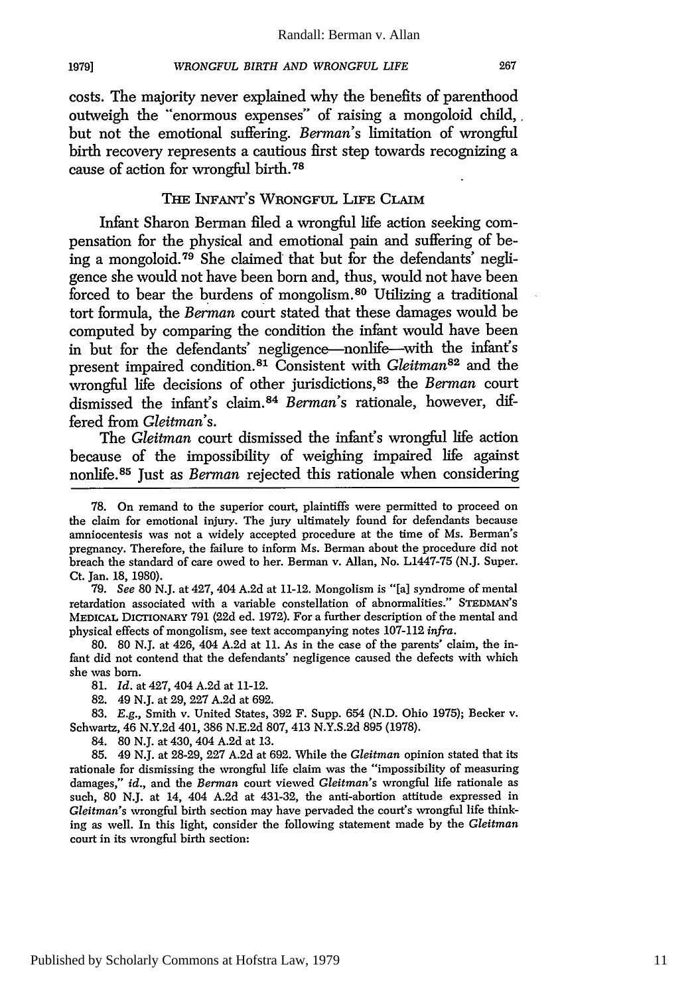**19791**

costs. The majority never explained why the benefits of parenthood outweigh the "enormous expenses" of raising a mongoloid child, but not the emotional suffering. *Berman's* limitation of wrongful birth recovery represents a cautious first step towards recognizing a cause of action for wrongful birth.<sup>78</sup>

# THE INFANT'S WRONGFUL LIFE CLAIM

Infant Sharon Berman filed a wrongful life action seeking compensation for the physical and emotional pain and suffering of being a mongoloid. 79 She claimed that but for the defendants' negligence she would not have been born and, thus, would not have been forced to bear the burdens of mongolism.80 Utilizing a traditional tort formula, the *Berman* court stated that these damages would be computed by comparing the condition the infant would have been in but for the defendants' negligence-nonlife-with the infant's present impaired condition.<sup>81</sup> Consistent with *Gleitman*<sup>82</sup> and the wrongful life decisions of other jurisdictions, 83 the *Berman* court dismissed the infant's claim. <sup>84</sup>*Berman's* rationale, however, differed from *Gleitman's.*

The *Gleitman* court dismissed the infant's wrongful life action because of the impossibility of weighing impaired life against nonlife. 85 Just as *Berman* rejected this rationale when considering

79. *See* 80 N.J. at 427, 404 A.2d at 11-12. Mongolism is "[a] syndrome of mental retardation associated with a variable constellation of abnormalities." **STEDMAN'S MEDICAL** DICTIONARY 791 (22d ed. 1972). For a further description of the mental and physical effects of mongolism, see text accompanying notes 107-112 *infra.*

80. 80 N.J. at 426, 404 A.2d at 11. As in the case of the parents' claim, the infant did not contend that the defendants' negligence caused the defects with which she was born.

81. *Id.* at 427, 404 A.2d at 11-12.

82. 49 N.J. at 29, 227 A.2d at 692.

83. E.g., Smith v. United States, 392 F. Supp. 654 (N.D. Ohio 1975); Becker v. Schwartz, 46 N.Y.2d 401, 386 N.E.2d 807, 413 N.Y.S.2d 895 (1978).

84. 80 N.J. at 430, 404 A.2d at 13.

85. 49 N.J. at 28-29, 227 A.2d at 692. While the *Gleitman* opinion stated that its rationale for dismissing the wrongful life claim was the "impossibility of measuring damages," *id.,* and the *Berman* court viewed *Gleitman's* wrongful life rationale as such, 80 N.J. at 14, 404 A.2d at 431-32, the anti-abortion attitude expressed in *Gleitman's* wrongful birth section may have pervaded the court's wrongful life thinking as well. In this light, consider the following statement made by the *Gleitman* court in its wrongful birth section:

<sup>78.</sup> On remand to the superior court, plaintiffs were permitted to proceed on the claim for emotional injury. The jury ultimately found for defendants because amniocentesis was not a widely accepted procedure at the time of Ms. Berman's pregnancy. Therefore, the failure to inform Ms. Berman about the procedure did not breach the standard of care owed to her. Berman v. Allan, No. L1447-75 (N.J. Super. Ct. Jan. 18, 1980).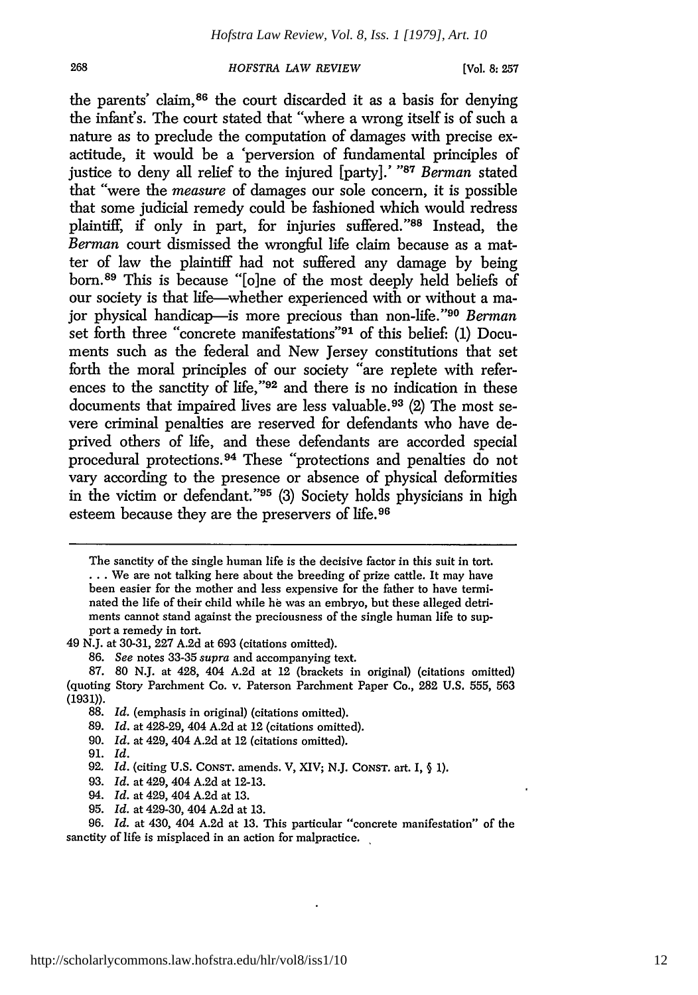**[Vol. 8:** *257*

the parents' claim, 86 the court discarded it as a basis for denying the infint's. The court stated that "where a wrong itself is of such a nature as to preclude the computation of damages with precise exactitude, it would be a 'perversion of fundamental principles of justice to deny all relief to the injured [party].' **"87** *Berman* stated that "were the *measure* of damages our sole concern, it is possible that some judicial remedy could be fashioned which would redress plaintiff, if only in part, for injuries suffered."88 Instead, the *Berman* court dismissed the wrongful life claim because as a matter of law the plaintiff had not suffered any damage by being born.<sup>89</sup> This is because "[o]ne of the most deeply held beliefs of our society is that life-whether experienced with or without a major physical handicap-is more precious than non-life."<sup>90</sup> Berman set forth three "concrete manifestations"<sup>91</sup> of this belief: (1) Documents such as the federal and New Jersey constitutions that set forth the moral principles of our society "are replete with references to the sanctity of life,"92 and there is no indication in these documents that impaired lives are less valuable. 93 (2) The most severe criminal penalties are reserved for defendants who have deprived others of life, and these defendants are accorded special procedural protections. 94 These "protections and penalties do not vary according to the presence or absence of physical deformities in the victim or defendant."<sup>95</sup> (3) Society holds physicians in high esteem because they are the preservers of life. <sup>96</sup>

- 94. *Id.* at 429, 404 A.2d at 13.
- 95. *Id.* at 429-30, 404 A.2d at 13.

The sanctity of the single human life is the decisive factor in this suit in tort. **...** We are not talking here about the breeding of prize cattle. It may have been easier for the mother and less expensive for the father to have terminated the life of their child while **he** was an embryo, but these alleged detriments cannot stand against the preciousness of the single human life to support a remedy in tort.

<sup>49</sup> N.J. at 30-31, 227 A.2d at 693 (citations omitted).

<sup>86.</sup> *See* notes 33-35 *supra* and accompanying text.

<sup>87. 80</sup> N.J. at 428, 404 A.2d at 12 (brackets in original) (citations omitted) (quoting Story Parchment Co. v. Paterson Parchment Paper Co., 282 U.S. 555, 563 (1931)).

**<sup>88.</sup>** *Id.* (emphasis in original) (citations omitted).

<sup>89.</sup> *Id.* at 428-29, 404 A.2d at 12 (citations omitted).

<sup>90.</sup> *Id.* at 429, 404 A.2d at 12 (citations omitted).

<sup>91.</sup> *Id.*

<sup>92.</sup> *Id.* (citing U.S. **CONST.** amends. V, XIV; N.J. **CONST.** art. I, § **1).**

<sup>93.</sup> *Id.* at 429, 404 A.2d at 12-13.

<sup>96.</sup> *Id.* at 430, 404 A.2d at 13. This particular "concrete manifestation" of the sanctity of life is misplaced in an action for malpractice.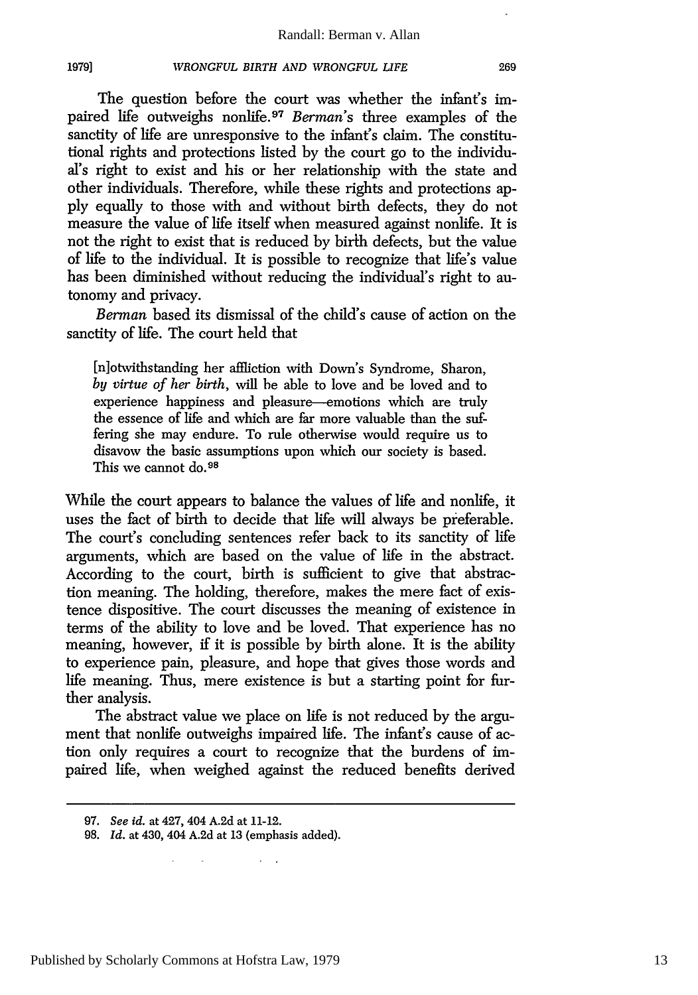The question before the court was whether the infant's impaired life outweighs nonlife. <sup>97</sup>*Berman's* three examples of the sanctity of life are unresponsive to the infant's claim. The constitutional rights and protections listed by the court go to the individual's right to exist and his or her relationship with the state and other individuals. Therefore, while these rights and protections ap**ply** equally to those with and without birth defects, they do not measure the value of life itself when measured against nonlife. It is not the right to exist that is reduced by birth defects, but the value of life to the individual. It is possible to recognize that life's value has been diminished without reducing the individual's right to autonomy and privacy.

*Berman* based its dismissal of the child's cause of action on the sanctity of life. The court held that

[nlotwithstanding her affliction with Down's Syndrome, Sharon, *by virtue of her birth,* will be able to love and be loved and to experience happiness and pleasure-emotions which are truly the essence of life and which are far more valuable than the suffering she may endure. To rule otherwise would require us to disavow the basic assumptions upon which our society is based. This we cannot do.<sup>98</sup>

While the court appears to balance the values of life and nonlife, it uses the fact of birth to decide that life will always be preferable. The court's concluding sentences refer back to its sanctity of life arguments, which are based on the value of life in the abstract. According to the court, birth is sufficient to give that abstraction meaning. The holding, therefore, makes the mere fact of existence dispositive. The court discusses the meaning of existence in terms of the ability to love and be loved. That experience has no meaning, however, if it is possible by birth alone. It is the ability to experience pain, pleasure, and hope that gives those words and life meaning. Thus, mere existence is but a starting point for further analysis.

The abstract value we place on life is not reduced by the argument that nonlife outweighs impaired life. The infant's cause of action only requires a court to recognize that the burdens of impaired life, when weighed against the reduced benefits derived

**1979]**

**<sup>97.</sup>** *See id.* at 427, 404 A.2d at 11-12.

**<sup>98.</sup>** *Id.* at 430, 404 A.2d at 13 (emphasis added).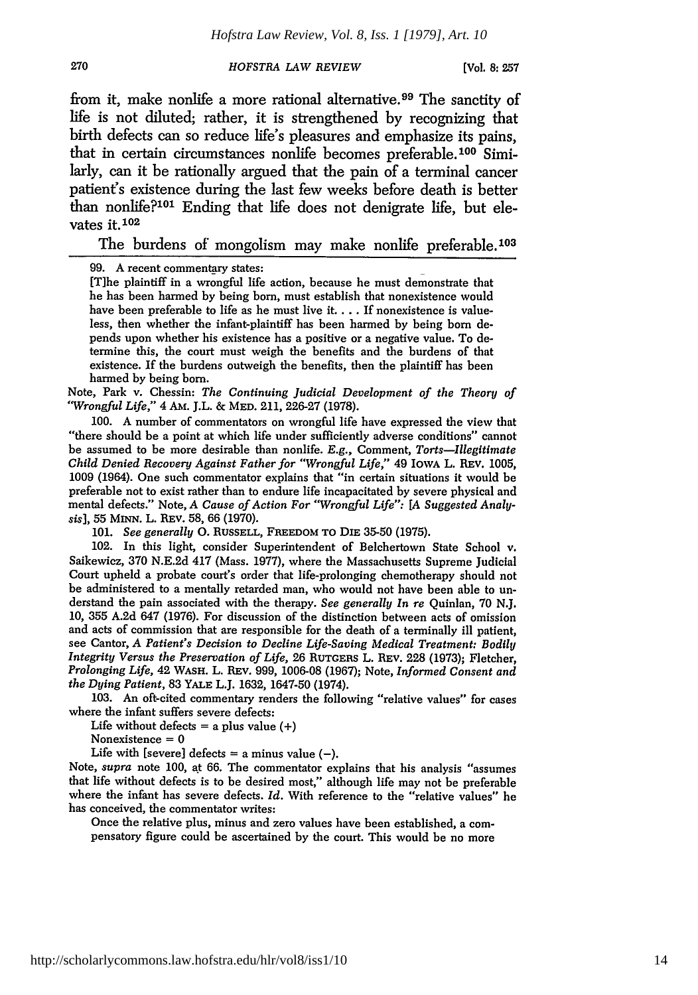**[Vol. 8:257**

from it, make nonlife a more rational alternative.<sup>99</sup> The sanctity of life is not diluted; rather, it is strengthened by recognizing that birth defects can so reduce life's pleasures and emphasize its pains, that in certain circumstances nonlife becomes preferable.<sup>100</sup> Similarly, can it be rationally argued that the pain of a terminal cancer patient's existence during the last few weeks before death is better than nonlife?<sup>101</sup> Ending that life does not denigrate life, but elevates it. $102$ 

The burdens of mongolism may make nonlife preferable.<sup>103</sup>

99. A recent commentary states:

[T]he plaintiff in a wrongful life action, because he must demonstrate that he has been harmed by being born, must establish that nonexistence would have been preferable to life as he must live it **....** If nonexistence is valueless, then whether the infant-plaintiff has been harmed **by** being born depends upon whether his existence has a positive or a negative value. To determine this, the court must weigh the benefits and the burdens of that existence. If the burdens outweigh the benefits, then the plaintiff has been harmed by being born.

Note, Park v. Chessin: *The Continuing Judicial Development of the Theory of "'Wrongful Life,"* 4 AM. J.L. & MED. 211, 226-27 (1978).

100. A number of commentators on wrongful life have expressed the view that "there should be a point at which life under sufficiently adverse conditions" cannot be assumed to be more desirable than nonlife. E.g., Comment, *Torts-Illegitimate Child Denied Recovery Against Father for "Wrongful Life,"* 49 IOwA L. REV. 1005, 1009 (1964). One such commentator explains that "in certain situations it would be preferable not to exist rather than to endure life incapacitated **by** severe physical and mental defects." Note, *A Cause of Action For "Wrongful Life": [A Suggested Analysis],* 55 MINN. L. REV. 58, 66 (1970).

101. *See generally* **0. RUSSELL, FREEDOM TO DIE** 35-50 (1975).

102. In this light, consider Superintendent of Belchertown State School v. Saikewicz, 370 N.E.2d 417 (Mass. 1977), where the Massachusetts Supreme Judicial Court upheld a probate court's order that life-prolonging chemotherapy should not be administered to a mentally retarded man, who would not have been able to un- derstand the pain associated with the therapy. *See generally In re* Quinlan, 70 N.J. 10, 355 A.2d 647 (1976). For discussion of the distinction between acts of omission and acts of commission that are responsible for the death of a terminally ill patient, see Cantor, *A Patient's Decision to Decline Life-Saving Medical Treatment: Bodily Integrity Versus the Preservation of Life,* 26 **RUTGERS** L. **REV.** 228 (1973); Fletcher, *Prolonging Life,* 42 WASH. L. REV. 999, 1006-08 (1967); Note, *Informed Consent and the Dying Patient,* 83 **YALE** L.J. 1632, 1647-50 (1974).

103. An oft-cited commentary renders the following "relative values" for cases where the infant suffers severe defects:

Life without defects  $=$  a plus value  $(+)$ Nonexistence  $= 0$ 

Life with [severe] defects = a minus value  $(-)$ .

Note, *supra* note 100, at 66. The commentator explains that his analysis "assumes that life without defects is to be desired most," although life may not be preferable where the infant has severe defects. *Id.* With reference to the "relative values" he has conceived, the commentator writes:

Once the relative plus, minus and zero values have been established, a com- pensatory figure could be ascertained by the court. This would be no more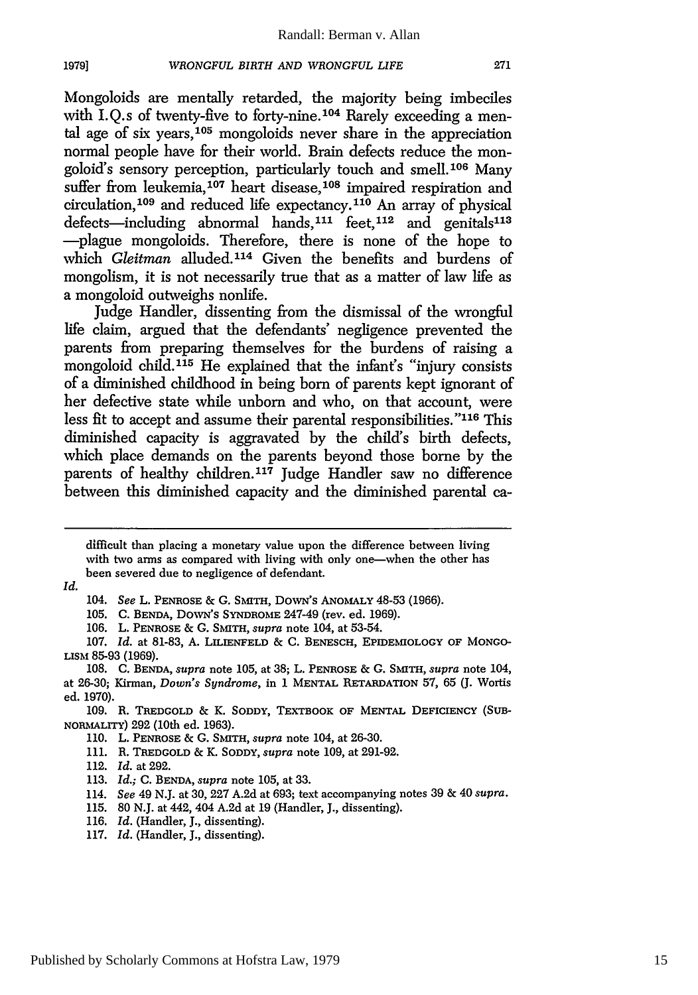Mongoloids are mentally retarded, the majority being imbeciles with I.O.s of twenty-five to forty-nine.<sup>104</sup> Rarely exceeding a mental age of six years,  $105$  mongoloids never share in the appreciation normal people have for their world. Brain defects reduce the mongoloid's sensory perception, particularly touch and smell.<sup>106</sup> Many suffer from leukemia,<sup>107</sup> heart disease,<sup>108</sup> impaired respiration and circulation,  $109$  and reduced life expectancy.  $110$  An array of physical defects-including abnormal hands,  $111$  feet,  $112$  and genitals<sup>113</sup> -plague mongoloids. Therefore, there is none of the hope to which *Gleitman* alluded.<sup>114</sup> Given the benefits and burdens of mongolism, it is not necessarily true that as a matter of law life as a mongoloid outweighs nonlife.

Judge Handler, dissenting from the dismissal of the wrongful life claim, argued that the defendants' negligence prevented the parents from preparing themselves for the burdens of raising a mongoloid child.<sup>115</sup> He explained that the infant's "injury consists of a diminished childhood in being born of parents kept ignorant of her defective state while unborn and who, on that account, were less fit to accept and assume their parental responsibilities. **"116** This diminished capacity is aggravated by the child's birth defects, which place demands on the parents beyond those borne by the parents of healthy children.<sup>117</sup> Judge Handler saw no difference between this diminished capacity and the diminished parental ca-

*Id.*

1979]

- 105. C. **BENDA,** DowN's SYNDROME 247-49 (rev. ed. 1969).
- 106. L. **PENROSE** & **G.** SMITH, *supra* note 104, at 53-54.

**107.** *Id.* at 81-83, **A.** LILIENFELD & C. **BENESCH,** EPIDEMIOLOGY OF **MONGO-**LISM 85-93 (1969).

108. C. **BENDA,** *supra* note 105, at 38; L. **PENROSE** & *G.* SMITH, *supra* note 104, at 26-30; Kirman, *Down's Syndrome,* in 1 **MENTAL** RETARDATION 57, 65 **(J.** Wortis ed. 1970).

- 112. *Id.* at 292.
- 113. *Id.;* C. **BENDA,** *supra* note 105, at 33.
- 114. *See* 49 N.J. at 30, 227 A.2d at 693; text accompanying notes 39 & 40 *supra.*
- 115. 80 N.J. at 442, 404 A.2d at 19 (Handler, J., dissenting).
- 116. *Id.* (Handler, J., dissenting).
- 117. *Id.* (Handler, J., dissenting).

difficult than placing a monetary value upon the difference between living with two arms as compared with living with only one-when the other has been severed due to negligence of defendant.

*<sup>104.</sup> See* L. **PENROSE** & G. SMITH, DoWN's ANOMALY 48-53 (1966).

**<sup>109.</sup>** R. TREDGOLD *&* K. **SODDY,** TEXTBOOK **OF MENTAL DEFICIENCY (SUB-**NORMALITY) **292** (10th ed. 1963).

<sup>110.</sup> L. **PENROSE** & G. SMITH, *supra* note 104, at 26-30.

**<sup>111.</sup>** R. **TREDGOLD** & K. SODDY, *supra* note **109,** at 291-92.